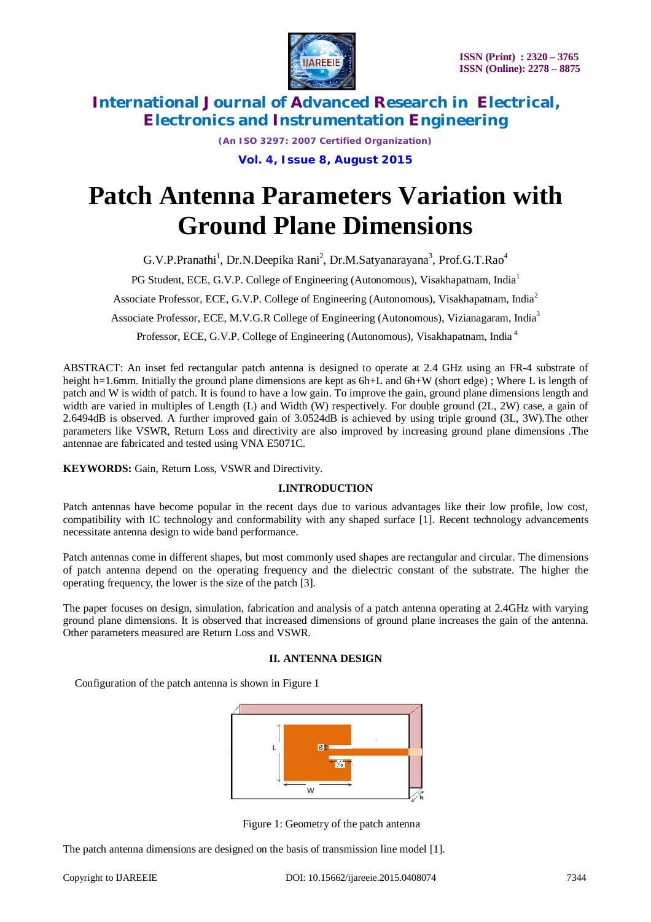

*(An ISO 3297: 2007 Certified Organization)* **Vol. 4, Issue 8, August 2015**

# **Patch Antenna Parameters Variation with Ground Plane Dimensions**

G.V.P.Pranathi<sup>1</sup>, Dr.N.Deepika Rani<sup>2</sup>, Dr.M.Satyanarayana<sup>3</sup>, Prof.G.T.Rao<sup>4</sup>

PG Student, ECE, G.V.P. College of Engineering (Autonomous), Visakhapatnam, India<sup>1</sup>

Associate Professor, ECE, G.V.P. College of Engineering (Autonomous), Visakhapatnam, India<sup>2</sup>

Associate Professor, ECE, M.V.G.R College of Engineering (Autonomous), Vizianagaram, India<sup>3</sup>

Professor, ECE, G.V.P. College of Engineering (Autonomous), Visakhapatnam, India <sup>4</sup>

ABSTRACT: An inset fed rectangular patch antenna is designed to operate at 2.4 GHz using an FR-4 substrate of height h=1.6mm. Initially the ground plane dimensions are kept as 6h+L and 6h+W (short edge); Where L is length of patch and W is width of patch. It is found to have a low gain. To improve the gain, ground plane dimensions length and width are varied in multiples of Length (L) and Width (W) respectively. For double ground (2L, 2W) case, a gain of 2.6494dB is observed. A further improved gain of 3.0524dB is achieved by using triple ground (3L, 3W).The other parameters like VSWR, Return Loss and directivity are also improved by increasing ground plane dimensions .The antennae are fabricated and tested using VNA E5071C.

**KEYWORDS:** Gain, Return Loss, VSWR and Directivity.

### **I.INTRODUCTION**

Patch antennas have become popular in the recent days due to various advantages like their low profile, low cost, compatibility with IC technology and conformability with any shaped surface [1]. Recent technology advancements necessitate antenna design to wide band performance.

Patch antennas come in different shapes, but most commonly used shapes are rectangular and circular. The dimensions of patch antenna depend on the operating frequency and the dielectric constant of the substrate. The higher the operating frequency, the lower is the size of the patch [3].

The paper focuses on design, simulation, fabrication and analysis of a patch antenna operating at 2.4GHz with varying ground plane dimensions. It is observed that increased dimensions of ground plane increases the gain of the antenna. Other parameters measured are Return Loss and VSWR.

### **II. ANTENNA DESIGN**

Configuration of the patch antenna is shown in Figure 1



Figure 1: Geometry of the patch antenna

The patch antenna dimensions are designed on the basis of transmission line model [1].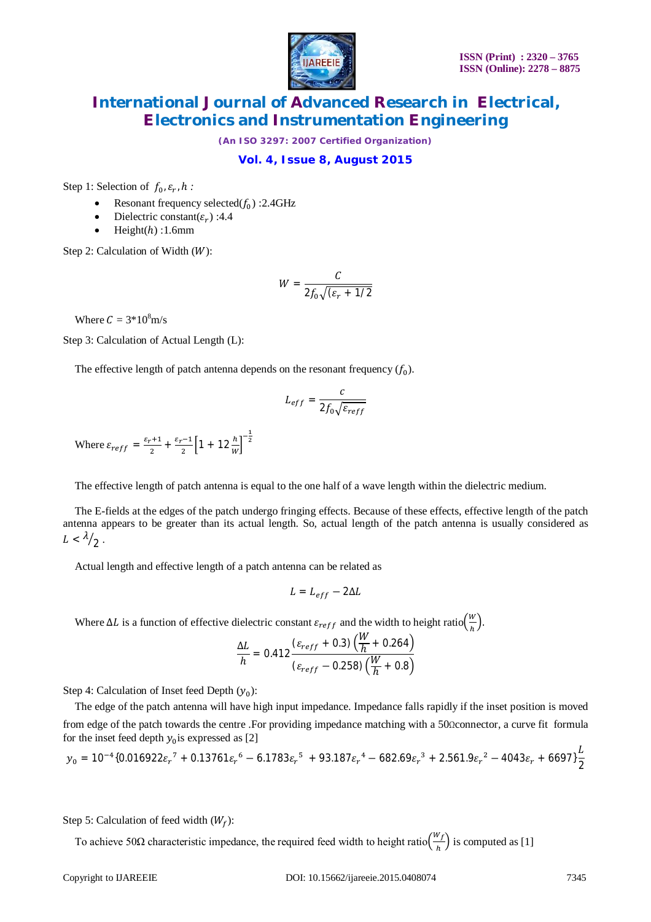

*(An ISO 3297: 2007 Certified Organization)*

#### **Vol. 4, Issue 8, August 2015**

Step 1: Selection of  $f_0$ ,  $\varepsilon_r$ , h:

- Resonant frequency selected $(f_0)$  :2.4GHz
- Dielectric constant( $\varepsilon_r$ ) :4.4
- $\bullet$  Height( $h$ ) :1.6mm

Step 2: Calculation of Width  $(W)$ :

$$
W = \frac{C}{2f_0\sqrt{(\varepsilon_r + 1/2)}}
$$

Where  $C = 3*10<sup>8</sup>m/s$ 

Step 3: Calculation of Actual Length (L):

The effective length of patch antenna depends on the resonant frequency  $(f_0)$ .

$$
L_{eff} = \frac{c}{2f_0\sqrt{\varepsilon_{reff}}}
$$

Where  $\varepsilon_{reff} = \frac{\varepsilon_r + 1}{2}$  $\frac{x+1}{2} + \frac{\varepsilon_r - 1}{2}$  $\frac{(-1)}{2} \left[ 1 + 12 \frac{h}{w} \right]^{-\frac{1}{2}}$ 

The effective length of patch antenna is equal to the one half of a wave length within the dielectric medium.

The E-fields at the edges of the patch undergo fringing effects. Because of these effects, effective length of the patch antenna appears to be greater than its actual length. So, actual length of the patch antenna is usually considered as  $L < \lambda/2$ .

Actual length and effective length of a patch antenna can be related as

$$
L = L_{eff} - 2\Delta L
$$

Where  $\Delta L$  is a function of effective dielectric constant  $\varepsilon_{reff}$  and the width to height ratio $\left(\frac{W}{h}\right)^2$  $\frac{n}{h}$ ).

$$
\frac{\Delta L}{h} = 0.412 \frac{(\varepsilon_{reff} + 0.3) (\frac{W}{h} + 0.264)}{(\varepsilon_{reff} - 0.258) (\frac{W}{h} + 0.8)}
$$

Step 4: Calculation of Inset feed Depth  $(y_0)$ :

The edge of the patch antenna will have high input impedance. Impedance falls rapidly if the inset position is moved from edge of the patch towards the centre .For providing impedance matching with a 50Ωconnector, a curve fit formula for the inset feed depth  $y_0$  is expressed as [2]

$$
y_0 = 10^{-4} \{ 0.016922\varepsilon_r^7 + 0.13761\varepsilon_r^6 - 6.1783\varepsilon_r^5 + 93.187\varepsilon_r^4 - 682.69\varepsilon_r^3 + 2.561.9\varepsilon_r^2 - 4043\varepsilon_r + 6697 \} \frac{L}{2}
$$

Step 5: Calculation of feed width  $(W_f)$ :

To achieve 50 $\Omega$  characteristic impedance, the required feed width to height ratio $\left(\frac{W_f}{h}\right)$  $\frac{f}{h}$ ) is computed as [1]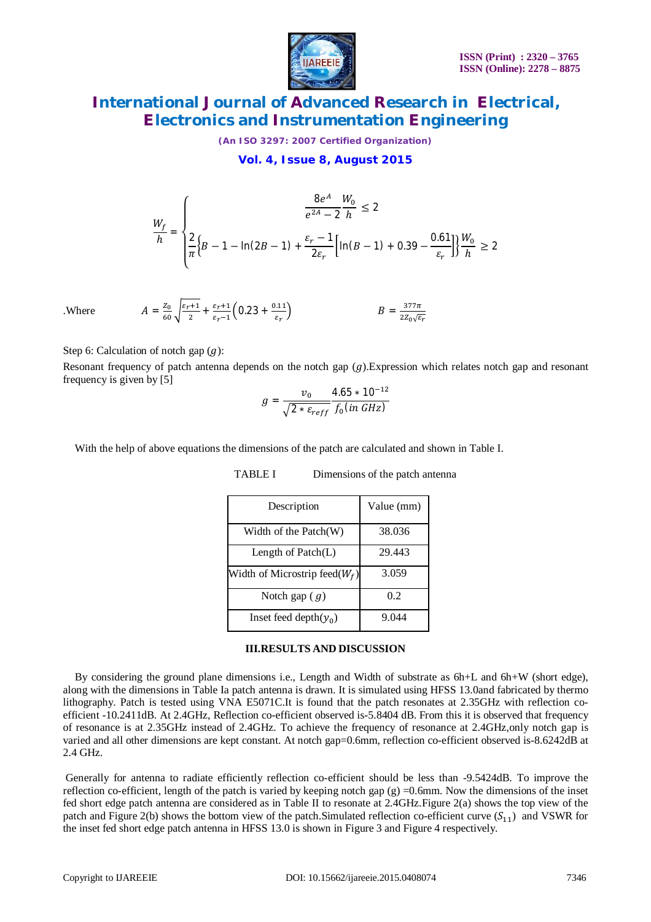

*(An ISO 3297: 2007 Certified Organization)*

**Vol. 4, Issue 8, August 2015**

$$
\frac{W_f}{h} = \begin{cases} \n\frac{8e^A}{e^{2A} - 2h} & \text{if } h \le 2\\ \n\frac{2}{\pi} \left\{ B - 1 - \ln(2B - 1) + \frac{\varepsilon_r - 1}{2\varepsilon_r} \left[ \ln(B - 1) + 0.39 - \frac{0.61}{\varepsilon_r} \right] \right\} \frac{W_0}{h} & \text{if } h \ge 2 \n\end{cases}
$$

= ܣ Where.

Step 6: Calculation of notch gap  $(g)$ :

 $rac{Z_0}{60}$  $\sqrt{\frac{\varepsilon_r+1}{2}}$ 

 $\frac{k+1}{2} + \frac{\varepsilon_r + 1}{\varepsilon_r - 1}$ 

 $rac{\varepsilon_r+1}{\varepsilon_r-1}$  (0.23 +  $rac{0.11}{\varepsilon_r}$ 

 $\varepsilon_r$ 

Resonant frequency of patch antenna depends on the notch gap  $(g)$ . Expression which relates notch gap and resonant frequency is given by [5]

$$
g = \frac{v_0}{\sqrt{2 * \varepsilon_{reff}}} \frac{4.65 * 10^{-12}}{f_0(in \, GHz)}
$$

With the help of above equations the dimensions of the patch are calculated and shown in Table I.

| Description                       | Value (mm) |
|-----------------------------------|------------|
| Width of the Patch(W)             | 38.036     |
| Length of Patch(L)                | 29.443     |
| Width of Microstrip feed( $W_f$ ) | 3.059      |
| Notch gap $(g)$                   | 0.2        |
| Inset feed depth $(\gamma_0)$     | 9.044      |

#### TABLE I Dimensions of the patch antenna

 $B = \frac{377\pi}{37.5}$ 

2 $Z_0\sqrt{\varepsilon_r}$ 

#### **III.RESULTS AND DISCUSSION**

By considering the ground plane dimensions i.e., Length and Width of substrate as 6h+L and 6h+W (short edge), along with the dimensions in Table Ia patch antenna is drawn. It is simulated using HFSS 13.0and fabricated by thermo lithography. Patch is tested using VNA E5071C.It is found that the patch resonates at 2.35GHz with reflection coefficient -10.2411dB. At 2.4GHz, Reflection co-efficient observed is-5.8404 dB. From this it is observed that frequency of resonance is at 2.35GHz instead of 2.4GHz. To achieve the frequency of resonance at 2.4GHz,only notch gap is varied and all other dimensions are kept constant. At notch gap=0.6mm, reflection co-efficient observed is-8.6242dB at 2.4 GHz.

Generally for antenna to radiate efficiently reflection co-efficient should be less than -9.5424dB. To improve the reflection co-efficient, length of the patch is varied by keeping notch gap  $(g) = 0.6$ mm. Now the dimensions of the inset fed short edge patch antenna are considered as in Table II to resonate at 2.4GHz.Figure 2(a) shows the top view of the patch and Figure 2(b) shows the bottom view of the patch.Simulated reflection co-efficient curve  $(S_{11})$  and VSWR for the inset fed short edge patch antenna in HFSS 13.0 is shown in Figure 3 and Figure 4 respectively.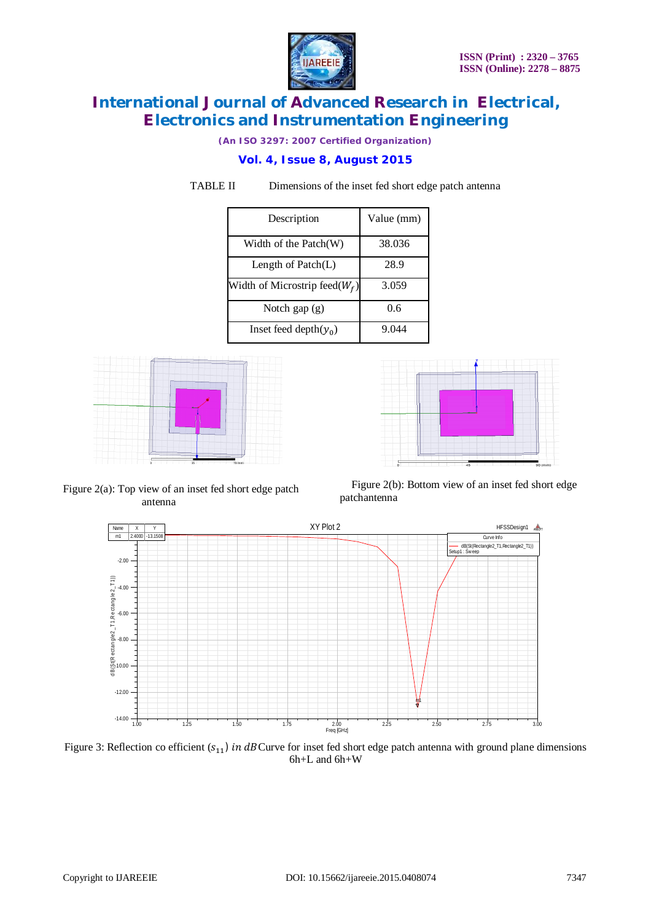

*(An ISO 3297: 2007 Certified Organization)*

### **Vol. 4, Issue 8, August 2015**

TABLE II Dimensions of the inset fed short edge patch antenna

| Description                       | Value (mm) |  |  |
|-----------------------------------|------------|--|--|
| Width of the Patch(W)             | 38.036     |  |  |
| Length of $Patch(L)$              | 28.9       |  |  |
| Width of Microstrip feed( $W_f$ ) | 3.059      |  |  |
| Notch gap $(g)$                   | 0.6        |  |  |
| Inset feed depth $(y_0)$          | 9.044      |  |  |





Figure 2(b): Bottom view of an inset fed short edge patchantenna



Figure 3: Reflection co efficient  $(s_{11})$  in dBCurve for inset fed short edge patch antenna with ground plane dimensions 6h+L and 6h+W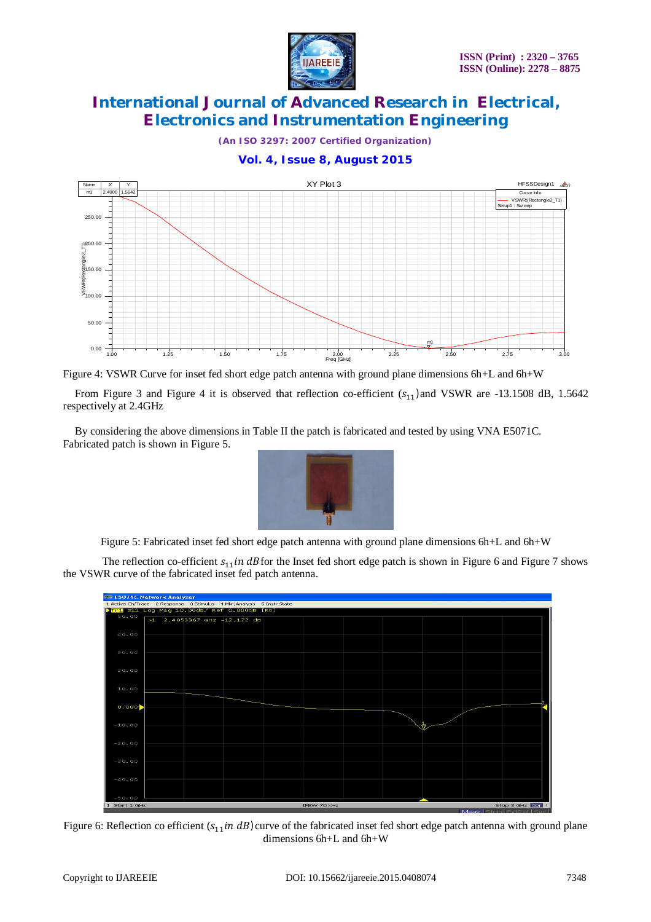

*(An ISO 3297: 2007 Certified Organization)*





Figure 4: VSWR Curve for inset fed short edge patch antenna with ground plane dimensions 6h+L and 6h+W

From Figure 3 and Figure 4 it is observed that reflection co-efficient  $(s_{11})$ and VSWR are -13.1508 dB, 1.5642 respectively at 2.4GHz

By considering the above dimensions in Table II the patch is fabricated and tested by using VNA E5071C. Fabricated patch is shown in Figure 5.



Figure 5: Fabricated inset fed short edge patch antenna with ground plane dimensions 6h+L and 6h+W

The reflection co-efficient  $s_{11}$  in dB for the Inset fed short edge patch is shown in Figure 6 and Figure 7 shows the VSWR curve of the fabricated inset fed patch antenna.



Figure 6: Reflection co efficient  $(s_{11}in dB)$ curve of the fabricated inset fed short edge patch antenna with ground plane dimensions 6h+L and 6h+W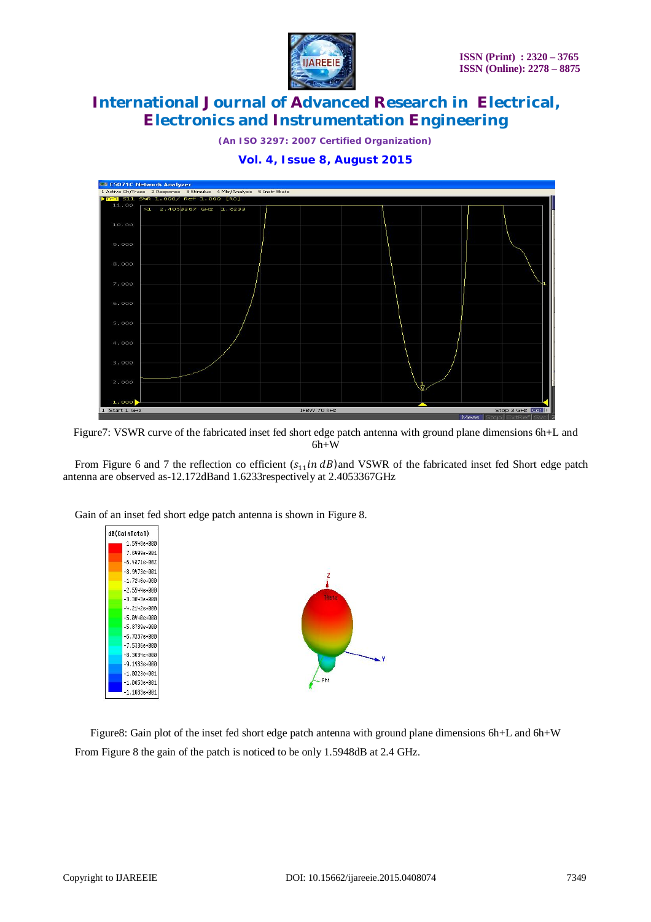

*(An ISO 3297: 2007 Certified Organization)* **Vol. 4, Issue 8, August 2015**



Figure7: VSWR curve of the fabricated inset fed short edge patch antenna with ground plane dimensions 6h+L and

6h+W

From Figure 6 and 7 the reflection co efficient  $(s_{11}in dB)$  and VSWR of the fabricated inset fed Short edge patch antenna are observed as-12.172dBand 1.6233respectively at 2.4053367GHz



Gain of an inset fed short edge patch antenna is shown in Figure 8.

Figure8: Gain plot of the inset fed short edge patch antenna with ground plane dimensions 6h+L and 6h+W From Figure 8 the gain of the patch is noticed to be only 1.5948dB at 2.4 GHz.